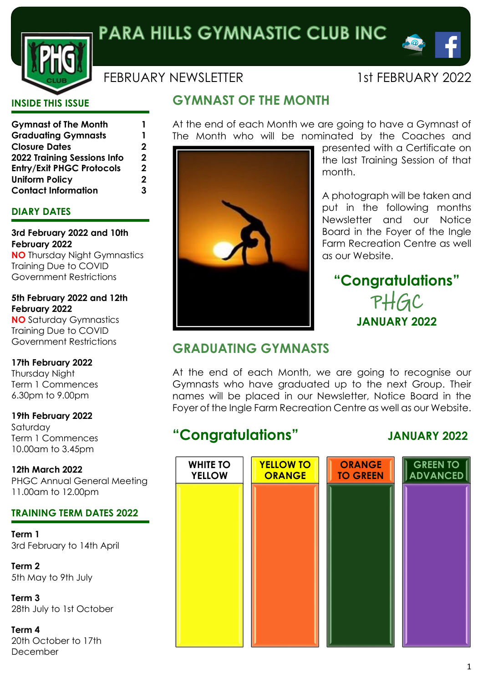

# FEBRUARY NEWSLETTER 1st FEBRUARY 2022

 $\triangle$ 

# **INSIDE THIS ISSUE**

| <b>Gymnast of The Month</b>        | 1 |
|------------------------------------|---|
| <b>Graduating Gymnasts</b>         | 1 |
| <b>Closure Dates</b>               | 2 |
| <b>2022 Training Sessions Info</b> | 2 |
| <b>Entry/Exit PHGC Protocols</b>   | 2 |
| <b>Uniform Policy</b>              | 2 |
| <b>Contact Information</b>         | 3 |

# **DIARY DATES**

**3rd February 2022 and 10th February 2022**

**NO** Thursday Night Gymnastics Training Due to COVID Government Restrictions

**5th February 2022 and 12th February 2022**

**NO** Saturday Gymnastics Training Due to COVID Government Restrictions

**17th February 2022** Thursday Night Term 1 Commences

6.30pm to 9.00pm

**19th February 2022** Saturday Term 1 Commences 10.00am to 3.45pm

**12th March 2022** PHGC Annual General Meeting 11.00am to 12.00pm

# **TRAINING TERM DATES 2022**

**Term 1** 3rd February to 14th April

**Term 2** 5th May to 9th July

**Term 3** 28th July to 1st October

**Term 4** 20th October to 17th December

# **GYMNAST OF THE MONTH**

At the end of each Month we are going to have a Gymnast of The Month who will be nominated by the Coaches and



presented with a Certificate on the last Training Session of that month.

A photograph will be taken and put in the following months Newsletter and our Notice Board in the Foyer of the Ingle Farm Recreation Centre as well as our Website.

# **"Congratulations"** PHGC **JANUARY 2022**

# **GRADUATING GYMNASTS**

At the end of each Month, we are going to recognise our Gymnasts who have graduated up to the next Group. Their names will be placed in our Newsletter, Notice Board in the Foyer of the Ingle Farm Recreation Centre as well as our Website.

# **"Congratulations" JANUARY 2022**

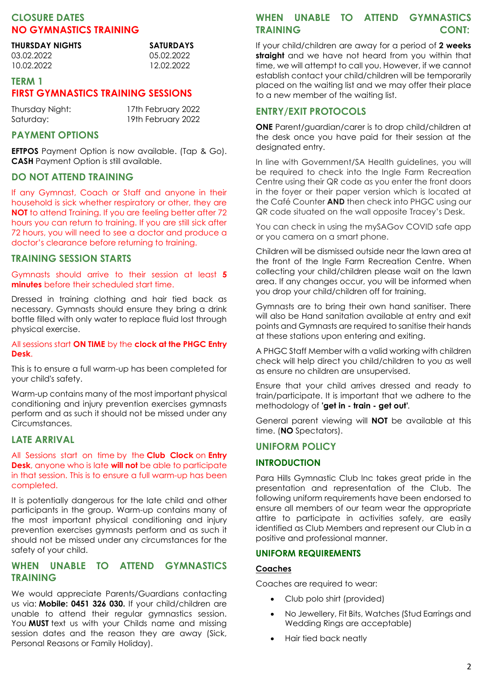# **CLOSURE DATES NO GYMNASTICS TRAINING**

| <b>SATURDAYS</b> |  |
|------------------|--|
| 05.02.2022       |  |
| 12.02.2022       |  |
|                  |  |

## **TERM 1 FIRST GYMNASTICS TRAINING SESSIONS**

| Thursday Night: | 17th February 2022 |
|-----------------|--------------------|
| Saturday:       | 19th February 2022 |

# **PAYMENT OPTIONS**

**EFTPOS** Payment Option is now available. (Tap & Go). **CASH** Payment Option is still available.

### **DO NOT ATTEND TRAINING**

If any Gymnast, Coach or Staff and anyone in their household is sick whether respiratory or other, they are **NOT** to attend Training. If you are feeling better after 72 hours you can return to training. If you are still sick after 72 hours, you will need to see a doctor and produce a doctor's clearance before returning to training.

### **TRAINING SESSION STARTS**

Gymnasts should arrive to their session at least **5 minutes** before their scheduled start time.

Dressed in training clothing and hair tied back as necessary. Gymnasts should ensure they bring a drink bottle filled with only water to replace fluid lost through physical exercise.

#### All sessions start **ON TIME** by the **clock at the PHGC Entry Desk**.

This is to ensure a full warm-up has been completed for your child's safety.

Warm-up contains many of the most important physical conditioning and injury prevention exercises gymnasts perform and as such it should not be missed under any Circumstances.

#### **LATE ARRIVAL**

All Sessions start on time by the **Club Clock** on **Entry Desk**, anyone who is late **will not** be able to participate in that session. This is to ensure a full warm-up has been completed.

It is potentially dangerous for the late child and other participants in the group. Warm-up contains many of the most important physical conditioning and injury prevention exercises gymnasts perform and as such it should not be missed under any circumstances for the safety of your child.

## **WHEN UNABLE TO ATTEND GYMNASTICS TRAINING**

We would appreciate Parents/Guardians contacting us via: **Mobile: 0451 326 030.** If your child/children are unable to attend their regular gymnastics session. You **MUST** text us with your Childs name and missing session dates and the reason they are away (Sick, Personal Reasons or Family Holiday).

## **WHEN UNABLE TO ATTEND GYMNASTICS TRAINING CONT:**

If your child/children are away for a period of **2 weeks straight** and we have not heard from you within that time, we will attempt to call you. However, if we cannot establish contact your child/children will be temporarily placed on the waiting list and we may offer their place to a new member of the waiting list.

### **ENTRY/EXIT PROTOCOLS**

**ONE** Parent/guardian/carer is to drop child/children at the desk once you have paid for their session at the designated entry.

In line with Government/SA Health guidelines, you will be required to check into the Ingle Farm Recreation Centre using their QR code as you enter the front doors in the foyer or their paper version which is located at the Café Counter **AND** then check into PHGC using our QR code situated on the wall opposite Tracey's Desk.

You can check in using the mySAGov COVID safe app or you camera on a smart phone.

Children will be dismissed outside near the lawn area at the front of the Ingle Farm Recreation Centre. When collecting your child/children please wait on the lawn area. If any changes occur, you will be informed when you drop your child/children off for training.

Gymnasts are to bring their own hand sanitiser. There will also be Hand sanitation available at entry and exit points and Gymnasts are required to sanitise their hands at these stations upon entering and exiting.

A PHGC Staff Member with a valid working with children check will help direct you child/children to you as well as ensure no children are unsupervised.

Ensure that your child arrives dressed and ready to train/participate. It is important that we adhere to the methodology of **'get in - train - get out'***.*

General parent viewing will **NOT** be available at this time. (**NO** Spectators).

#### **UNIFORM POLICY**

#### **INTRODUCTION**

Para Hills Gymnastic Club Inc takes great pride in the presentation and representation of the Club. The following uniform requirements have been endorsed to ensure all members of our team wear the appropriate attire to participate in activities safely, are easily identified as Club Members and represent our Club in a positive and professional manner.

#### **UNIFORM REQUIREMENTS**

#### **Coaches**

Coaches are required to wear:

- Club polo shirt (provided)
- No Jewellery, Fit Bits, Watches (Stud Earrings and Wedding Rings are acceptable)
- Hair tied back neatly